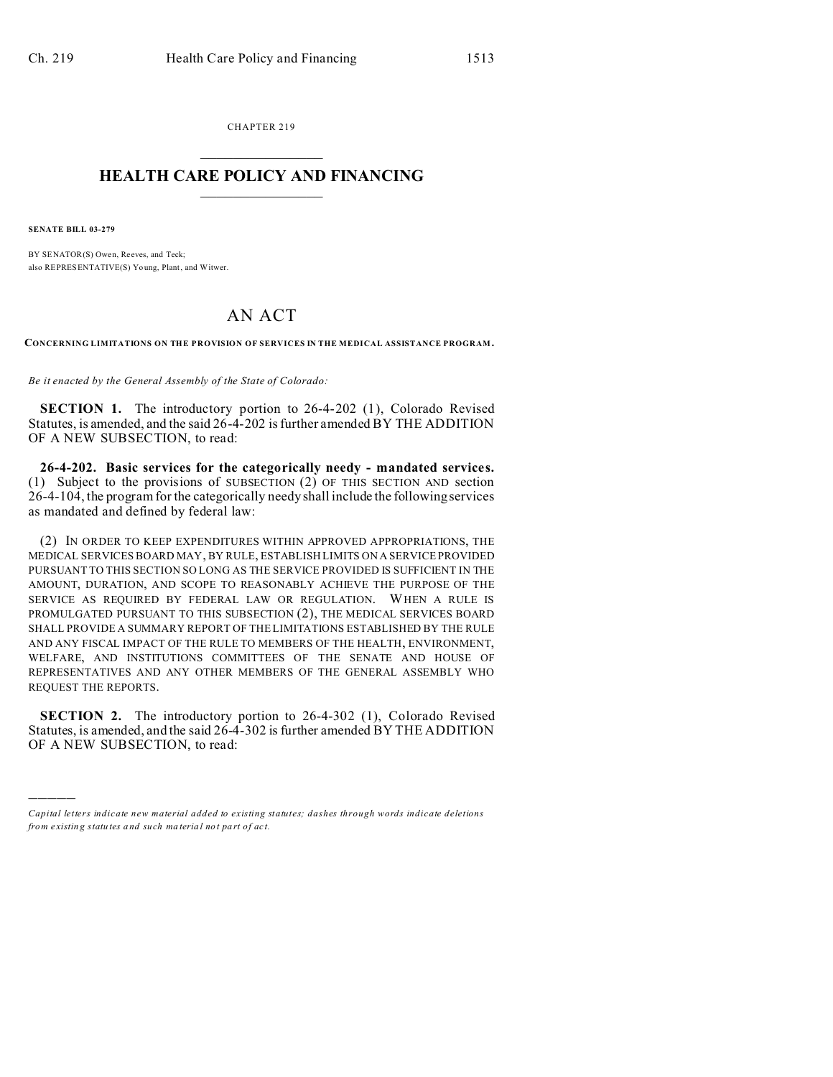CHAPTER 219  $\overline{\phantom{a}}$  , where  $\overline{\phantom{a}}$ 

## **HEALTH CARE POLICY AND FINANCING**  $\_$   $\_$   $\_$   $\_$   $\_$   $\_$   $\_$   $\_$

**SENATE BILL 03-279**

)))))

BY SENATOR(S) Owen, Reeves, and Teck; also REPRESENTATIVE(S) Yo ung, Plant, and Witwer.

## AN ACT

**CONCERNING LIMITATIONS ON THE PROVISION OF SERVICES IN THE MEDICAL ASSISTANCE PROGRAM.**

*Be it enacted by the General Assembly of the State of Colorado:*

**SECTION 1.** The introductory portion to 26-4-202 (1), Colorado Revised Statutes, is amended, and the said 26-4-202 is further amended BY THE ADDITION OF A NEW SUBSECTION, to read:

**26-4-202. Basic services for the categorically needy - mandated services.** (1) Subject to the provisions of SUBSECTION (2) OF THIS SECTION AND section 26-4-104, the program for the categorically needy shall include the following services as mandated and defined by federal law:

(2) IN ORDER TO KEEP EXPENDITURES WITHIN APPROVED APPROPRIATIONS, THE MEDICAL SERVICES BOARD MAY, BY RULE, ESTABLISH LIMITS ON A SERVICE PROVIDED PURSUANT TO THIS SECTION SO LONG AS THE SERVICE PROVIDED IS SUFFICIENT IN THE AMOUNT, DURATION, AND SCOPE TO REASONABLY ACHIEVE THE PURPOSE OF THE SERVICE AS REQUIRED BY FEDERAL LAW OR REGULATION. WHEN A RULE IS PROMULGATED PURSUANT TO THIS SUBSECTION (2), THE MEDICAL SERVICES BOARD SHALL PROVIDE A SUMMARY REPORT OF THE LIMITATIONS ESTABLISHED BY THE RULE AND ANY FISCAL IMPACT OF THE RULE TO MEMBERS OF THE HEALTH, ENVIRONMENT, WELFARE, AND INSTITUTIONS COMMITTEES OF THE SENATE AND HOUSE OF REPRESENTATIVES AND ANY OTHER MEMBERS OF THE GENERAL ASSEMBLY WHO REQUEST THE REPORTS.

**SECTION 2.** The introductory portion to 26-4-302 (1), Colorado Revised Statutes, is amended, and the said 26-4-302 is further amended BY THE ADDITION OF A NEW SUBSECTION, to read:

*Capital letters indicate new material added to existing statutes; dashes through words indicate deletions from e xistin g statu tes a nd such ma teria l no t pa rt of ac t.*